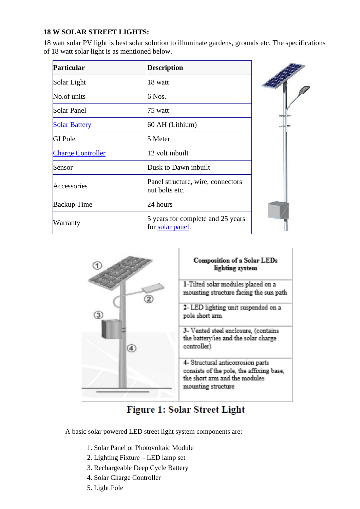## **18 W SOLAR STREET LIGHTS:**

18 watt solar PV light is best solar solution to illuminate gardens, grounds etc. The specifications of 18 watt solar light is as mentioned below.

| Particular               | <b>Description</b>                                    |
|--------------------------|-------------------------------------------------------|
| Solar Light              | 18 watt                                               |
| No.of units              | 6 Nos.                                                |
| Solar Panel              | 75 watt                                               |
| <b>Solar Battery</b>     | $60$ AH (Lithium)                                     |
| <b>GI</b> Pole           | 5 Meter                                               |
| <b>Charge Controller</b> | 12 volt inbuilt                                       |
| Sensor                   | Dusk to Dawn inbuilt                                  |
| Accessories              | Panel structure, wire, connectors<br>nut bolts etc.   |
| <b>Backup Time</b>       | 24 hours                                              |
| Warranty                 | 5 years for complete and 25 years<br>for solar panel. |



## **Figure 1: Solar Street Light**

A basic solar powered LED street light system components are:

- 1. Solar Panel or Photovoltaic Module
- 2. Lighting Fixture LED lamp set
- 3. Rechargeable Deep Cycle Battery
- 4. Solar Charge Controller
- 5. Light Pole